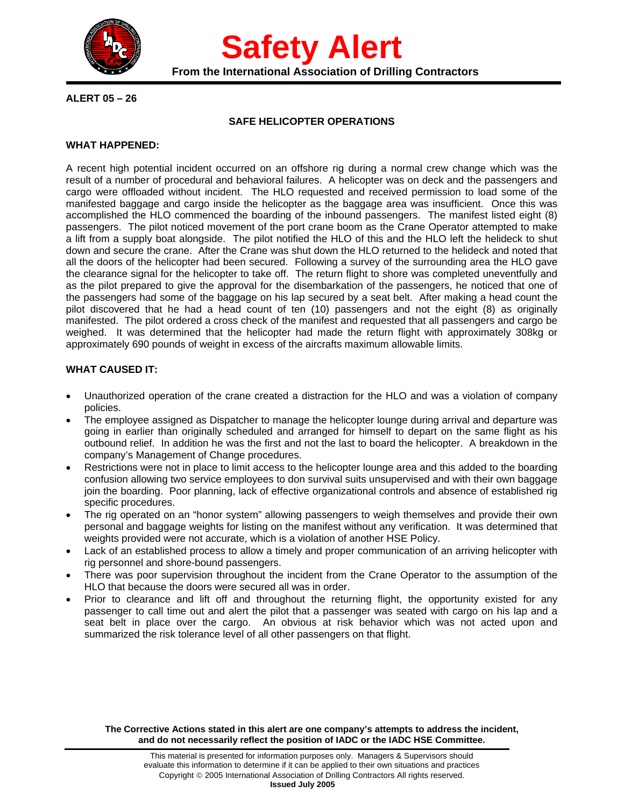

**Safety Alert**<br>From the International Association of Drilling Contractors

# **ALERT 05 – 26**

## **SAFE HELICOPTER OPERATIONS**

## **WHAT HAPPENED:**

A recent high potential incident occurred on an offshore rig during a normal crew change which was the result of a number of procedural and behavioral failures. A helicopter was on deck and the passengers and cargo were offloaded without incident. The HLO requested and received permission to load some of the manifested baggage and cargo inside the helicopter as the baggage area was insufficient. Once this was accomplished the HLO commenced the boarding of the inbound passengers. The manifest listed eight (8) passengers. The pilot noticed movement of the port crane boom as the Crane Operator attempted to make a lift from a supply boat alongside. The pilot notified the HLO of this and the HLO left the helideck to shut down and secure the crane. After the Crane was shut down the HLO returned to the helideck and noted that all the doors of the helicopter had been secured. Following a survey of the surrounding area the HLO gave the clearance signal for the helicopter to take off. The return flight to shore was completed uneventfully and as the pilot prepared to give the approval for the disembarkation of the passengers, he noticed that one of the passengers had some of the baggage on his lap secured by a seat belt. After making a head count the pilot discovered that he had a head count of ten (10) passengers and not the eight (8) as originally manifested. The pilot ordered a cross check of the manifest and requested that all passengers and cargo be weighed. It was determined that the helicopter had made the return flight with approximately 308kg or approximately 690 pounds of weight in excess of the aircrafts maximum allowable limits.

# **WHAT CAUSED IT:**

- Unauthorized operation of the crane created a distraction for the HLO and was a violation of company policies.
- The employee assigned as Dispatcher to manage the helicopter lounge during arrival and departure was going in earlier than originally scheduled and arranged for himself to depart on the same flight as his outbound relief. In addition he was the first and not the last to board the helicopter. A breakdown in the company's Management of Change procedures.
- Restrictions were not in place to limit access to the helicopter lounge area and this added to the boarding confusion allowing two service employees to don survival suits unsupervised and with their own baggage join the boarding. Poor planning, lack of effective organizational controls and absence of established rig specific procedures.
- The rig operated on an "honor system" allowing passengers to weigh themselves and provide their own personal and baggage weights for listing on the manifest without any verification. It was determined that weights provided were not accurate, which is a violation of another HSE Policy.
- Lack of an established process to allow a timely and proper communication of an arriving helicopter with rig personnel and shore-bound passengers.
- There was poor supervision throughout the incident from the Crane Operator to the assumption of the HLO that because the doors were secured all was in order.
- Prior to clearance and lift off and throughout the returning flight, the opportunity existed for any passenger to call time out and alert the pilot that a passenger was seated with cargo on his lap and a seat belt in place over the cargo. An obvious at risk behavior which was not acted upon and summarized the risk tolerance level of all other passengers on that flight.

**The Corrective Actions stated in this alert are one company's attempts to address the incident, and do not necessarily reflect the position of IADC or the IADC HSE Committee.**